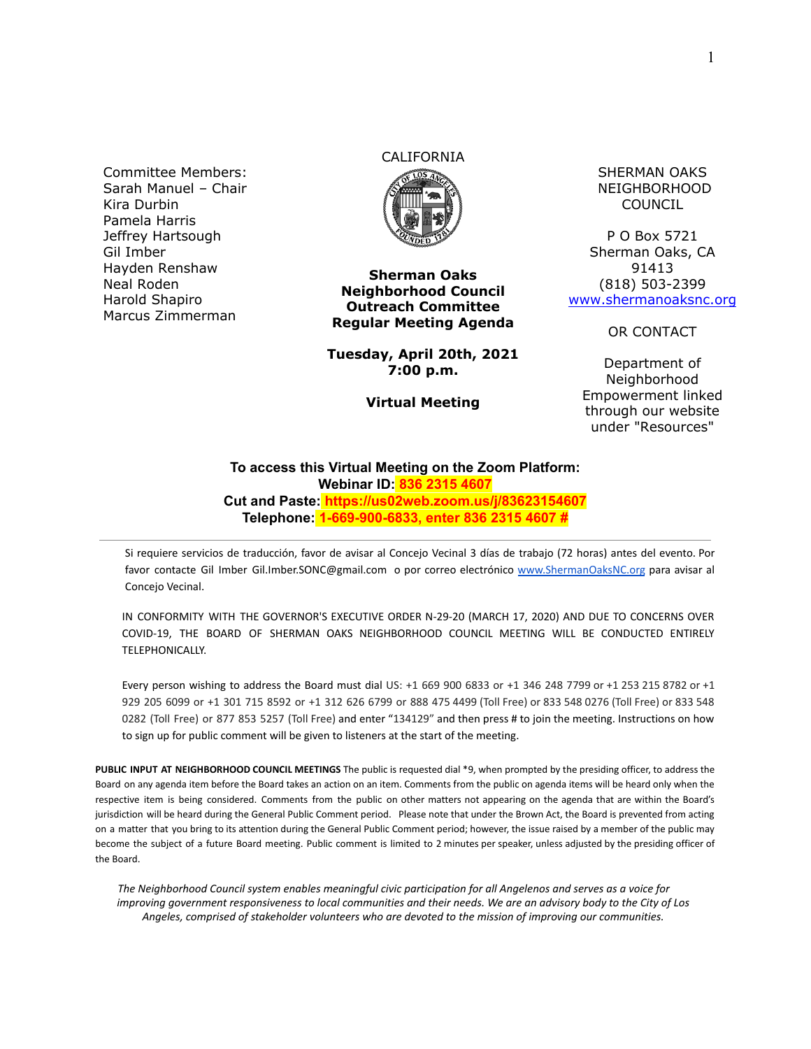Committee Members: Sarah Manuel – Chair Kira Durbin Pamela Harris Jeffrey Hartsough Gil Imber Hayden Renshaw Neal Roden Harold Shapiro Marcus Zimmerman

# CALIFORNIA



**Sherman Oaks Neighborhood Council Outreach Committee Regular Meeting Agenda**

**Tuesday, April 20th, 2021 7:00 p.m.**

**Virtual Meeting**

SHERMAN OAKS NEIGHBORHOOD COUNCIL

P O Box 5721 Sherman Oaks, CA 91413 (818) 503-2399 [www.shermanoaksnc.org](http://www.shermanoaksnc.org/)

OR CONTACT

Department of Neighborhood Empowerment linked through our website under "Resources"

#### **To access this Virtual Meeting on the Zoom Platform: Webinar ID: 836 2315 4607 Cut and Paste: https://us02web.zoom.us/j/83623154607 Telephone: 1-669-900-6833, enter 836 2315 4607 #**

Si requiere servicios de traducción, favor de avisar al Concejo Vecinal 3 días de trabajo (72 horas) antes del evento. Por favor contacte Gil Imber Gil.Imber.SONC@gmail.com o por correo electrónico [www.ShermanOaksNC.org](http://www.shermanoaksnc.org) para avisar al Concejo Vecinal.

IN CONFORMITY WITH THE GOVERNOR'S EXECUTIVE ORDER N-29-20 (MARCH 17, 2020) AND DUE TO CONCERNS OVER COVID-19, THE BOARD OF SHERMAN OAKS NEIGHBORHOOD COUNCIL MEETING WILL BE CONDUCTED ENTIRELY TELEPHONICALLY.

Every person wishing to address the Board must dial US: +1 669 900 6833 or +1 346 248 7799 or +1 253 215 8782 or +1 929 205 6099 or +1 301 715 8592 or +1 312 626 6799 or 888 475 4499 (Toll Free) or 833 548 0276 (Toll Free) or 833 548 0282 (Toll Free) or 877 853 5257 (Toll Free) and enter "134129" and then press # to join the meeting. Instructions on how to sign up for public comment will be given to listeners at the start of the meeting.

**PUBLIC INPUT AT NEIGHBORHOOD COUNCIL MEETINGS** The public is requested dial \*9, when prompted by the presiding officer, to address the Board on any agenda item before the Board takes an action on an item. Comments from the public on agenda items will be heard only when the respective item is being considered. Comments from the public on other matters not appearing on the agenda that are within the Board's jurisdiction will be heard during the General Public Comment period. Please note that under the Brown Act, the Board is prevented from acting on a matter that you bring to its attention during the General Public Comment period; however, the issue raised by a member of the public may become the subject of a future Board meeting. Public comment is limited to 2 minutes per speaker, unless adjusted by the presiding officer of the Board.

*The Neighborhood Council system enables meaningful civic participation for all Angelenos and serves as a voice for improving government responsiveness to local communities and their needs. We are an advisory body to the City of Los Angeles, comprised of stakeholder volunteers who are devoted to the mission of improving our communities.*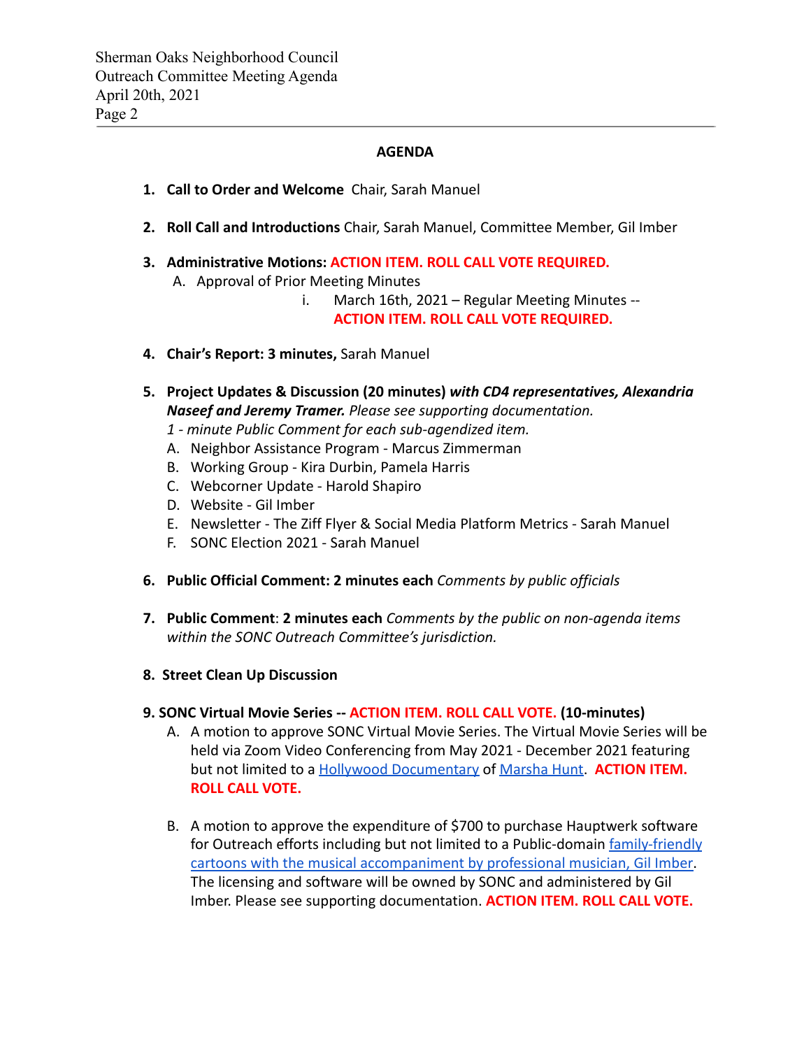#### **AGENDA**

- **1. Call to Order and Welcome** Chair, Sarah Manuel
- **2. Roll Call and Introductions** Chair, Sarah Manuel, Committee Member, Gil Imber
- **3. Administrative Motions: ACTION ITEM. ROLL CALL VOTE REQUIRED.** A. Approval of Prior Meeting Minutes
	- i. March 16th, 2021 Regular Meeting Minutes -- **ACTION ITEM. ROLL CALL VOTE REQUIRED.**
- **4. Chair's Report: 3 minutes,** Sarah Manuel
- **5. Project Updates & Discussion (20 minutes)** *with CD4 representatives, Alexandria Naseef and Jeremy Tramer. Please see supporting documentation.*
	- *1 minute Public Comment for each sub-agendized item.*
	- A. Neighbor Assistance Program Marcus Zimmerman
	- B. Working Group Kira Durbin, Pamela Harris
	- C. Webcorner Update Harold Shapiro
	- D. Website Gil Imber
	- E. Newsletter The Ziff Flyer & Social Media Platform Metrics Sarah Manuel
	- F. SONC Election 2021 Sarah Manuel
- **6. Public Official Comment: 2 minutes each** *Comments by public officials*
- **7. Public Comment**: **2 minutes each** *Comments by the public on non-agenda items within the SONC Outreach Committee's jurisdiction.*
- **8. Street Clean Up Discussion**

#### **9. SONC Virtual Movie Series -- ACTION ITEM. ROLL CALL VOTE. (10-minutes)**

- A. A motion to approve SONC Virtual Movie Series. The Virtual Movie Series will be held via Zoom Video Conferencing from May 2021 - December 2021 featuring but not limited to a [Hollywood Documentary](https://www.youtube.com/watch?v=xZ6T-qlO7w4) of [Marsha](https://www.imdb.com/name/nm0402554/bio) Hunt. **ACTION ITEM. ROLL CALL VOTE.**
- B. A motion to approve the expenditure of \$700 to purchase Hauptwerk software for Outreach efforts including but not limited to a Public-domain [family-friendly](https://youtu.be/vrODRjLJjuY) [cartoons with the musical accompaniment by professional](https://youtu.be/vrODRjLJjuY) musician, Gil Imber. The licensing and software will be owned by SONC and administered by Gil Imber. Please see supporting documentation. **ACTION ITEM. ROLL CALL VOTE.**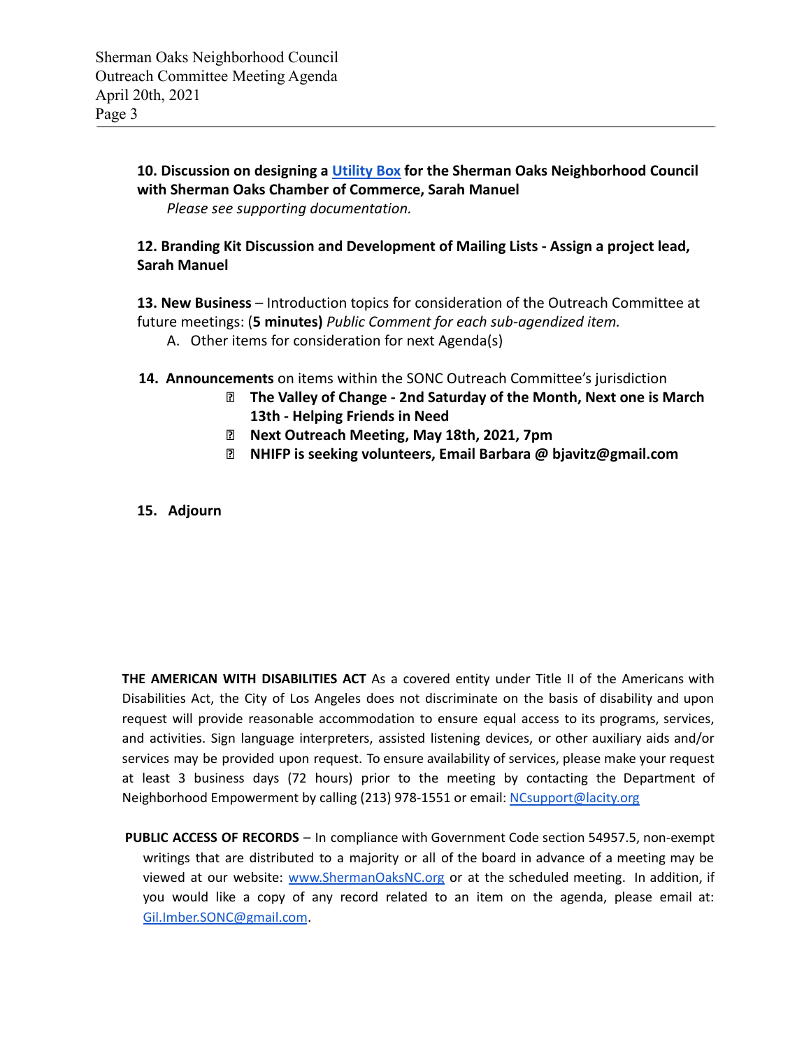### **10. Discussion on designing a [Utility Box](https://youtu.be/oeBes1fJV5s) for the Sherman Oaks Neighborhood Council with Sherman Oaks Chamber of Commerce, Sarah Manuel** *Please see supporting documentation.*

## **12. Branding Kit Discussion and Development of Mailing Lists - Assign a project lead, Sarah Manuel**

**13. New Business** – Introduction topics for consideration of the Outreach Committee at future meetings: (**5 minutes)** *Public Comment for each sub-agendized item.*

- A. Other items for consideration for next Agenda(s)
- **14. Announcements** on items within the SONC Outreach Committee's jurisdiction
	- **⮚ The Valley of Change 2nd Saturday of the Month, Next one is March 13th - Helping Friends in Need**
	- **⮚ Next Outreach Meeting, May 18th, 2021, 7pm**
	- **⮚ NHIFP is seeking volunteers, Email Barbara @ bjavitz@gmail.com**
- **15. Adjourn**

**THE AMERICAN WITH DISABILITIES ACT** As a covered entity under Title II of the Americans with Disabilities Act, the City of Los Angeles does not discriminate on the basis of disability and upon request will provide reasonable accommodation to ensure equal access to its programs, services, and activities. Sign language interpreters, assisted listening devices, or other auxiliary aids and/or services may be provided upon request. To ensure availability of services, please make your request at least 3 business days (72 hours) prior to the meeting by contacting the Department of Neighborhood Empowerment by calling (213) 978-1551 or email: [NCsupport@lacity.org](mailto:NCsupport@lacity.org)

**PUBLIC ACCESS OF RECORDS** – In compliance with Government Code section 54957.5, non-exempt writings that are distributed to a majority or all of the board in advance of a meeting may be viewed at our website: [www.ShermanOaksNC.org](http://www.shermanoaksnc.org) or at the scheduled meeting. In addition, if you would like a copy of any record related to an item on the agenda, please email at: [Gil.Imber.SONC@gmail.com](mailto:Gil.Imber.SONC@gmail.com).